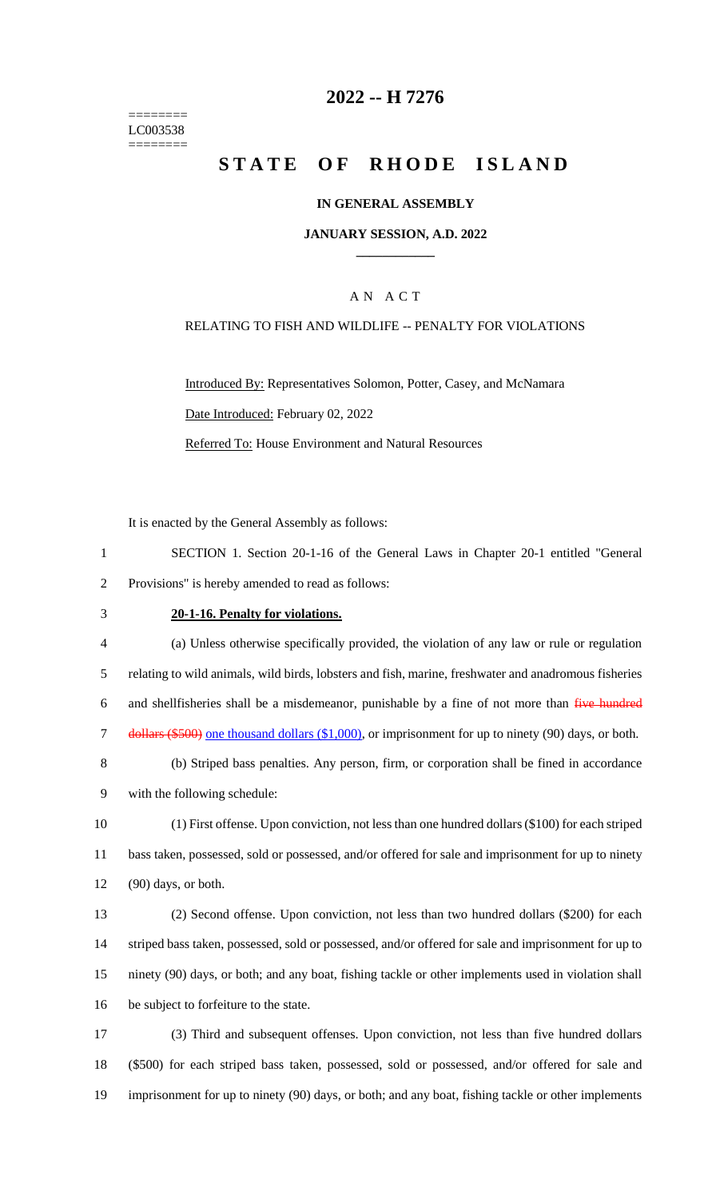======== LC003538 ========

## **2022 -- H 7276**

# **STATE OF RHODE ISLAND**

## **IN GENERAL ASSEMBLY**

#### **JANUARY SESSION, A.D. 2022 \_\_\_\_\_\_\_\_\_\_\_\_**

## A N A C T

## RELATING TO FISH AND WILDLIFE -- PENALTY FOR VIOLATIONS

Introduced By: Representatives Solomon, Potter, Casey, and McNamara Date Introduced: February 02, 2022 Referred To: House Environment and Natural Resources

It is enacted by the General Assembly as follows:

- 1 SECTION 1. Section 20-1-16 of the General Laws in Chapter 20-1 entitled "General 2 Provisions" is hereby amended to read as follows:
- 

## 3 **20-1-16. Penalty for violations.**

 (a) Unless otherwise specifically provided, the violation of any law or rule or regulation relating to wild animals, wild birds, lobsters and fish, marine, freshwater and anadromous fisheries 6 and shellfisheries shall be a misdemeanor, punishable by a fine of not more than five hundred dollars (\$500) one thousand dollars (\$1,000), or imprisonment for up to ninety (90) days, or both.

- 8 (b) Striped bass penalties. Any person, firm, or corporation shall be fined in accordance 9 with the following schedule:
- 10 (1) First offense. Upon conviction, not less than one hundred dollars (\$100) for each striped 11 bass taken, possessed, sold or possessed, and/or offered for sale and imprisonment for up to ninety 12 (90) days, or both.
- 13 (2) Second offense. Upon conviction, not less than two hundred dollars (\$200) for each 14 striped bass taken, possessed, sold or possessed, and/or offered for sale and imprisonment for up to 15 ninety (90) days, or both; and any boat, fishing tackle or other implements used in violation shall 16 be subject to forfeiture to the state.
- 17 (3) Third and subsequent offenses. Upon conviction, not less than five hundred dollars 18 (\$500) for each striped bass taken, possessed, sold or possessed, and/or offered for sale and 19 imprisonment for up to ninety (90) days, or both; and any boat, fishing tackle or other implements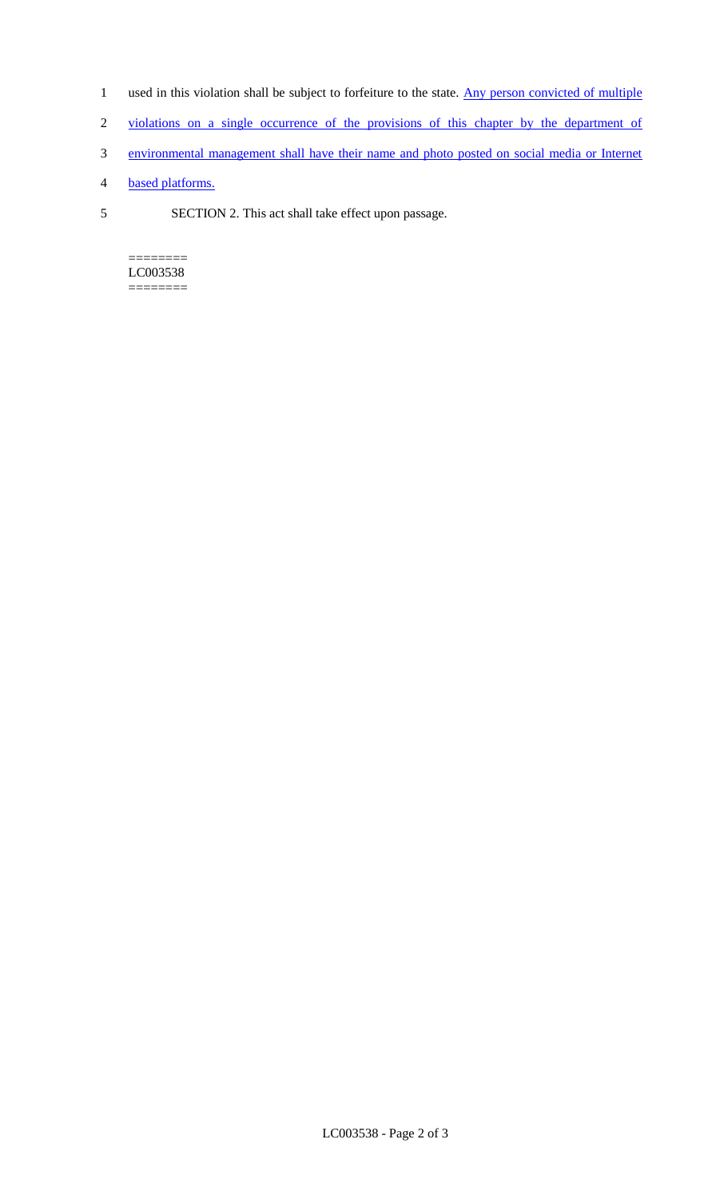- 1 used in this violation shall be subject to forfeiture to the state. Any person convicted of multiple
- 2 violations on a single occurrence of the provisions of this chapter by the department of
- 3 environmental management shall have their name and photo posted on social media or Internet
- 4 based platforms.
- 5 SECTION 2. This act shall take effect upon passage.

======== LC003538 ========